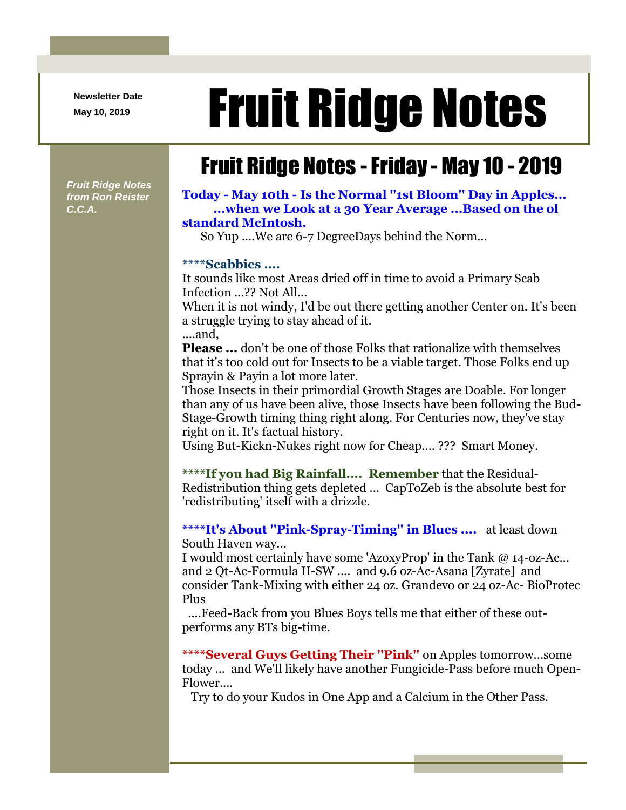**Newsletter Date**

## Newsletter Date **Fruit Ridge Notes**

## Fruit Ridge Notes -Friday - May 10 - 2019

*Fruit Ridge Notes from Ron Reister C.C.A.*

**Today - May 10th - Is the Normal ''1st Bloom'' Day in Apples... ...when we Look at a 30 Year Average ...Based on the ol standard McIntosh.**

So Yup ....We are 6-7 DegreeDays behind the Norm...

## **\*\*\*\*Scabbies ....**

It sounds like most Areas dried off in time to avoid a Primary Scab Infection ...?? Not All...

When it is not windy, I'd be out there getting another Center on. It's been a struggle trying to stay ahead of it. ....and,

**Please ...** don't be one of those Folks that rationalize with themselves that it's too cold out for Insects to be a viable target. Those Folks end up Sprayin & Payin a lot more later.

Those Insects in their primordial Growth Stages are Doable. For longer than any of us have been alive, those Insects have been following the Bud-Stage-Growth timing thing right along. For Centuries now, they've stay right on it. It's factual history.

Using But-Kickn-Nukes right now for Cheap.... ??? Smart Money.

**\*\*\*\*If you had Big Rainfall.... Remember** that the Residual-Redistribution thing gets depleted ... CapToZeb is the absolute best for 'redistributing' itself with a drizzle.

**\*\*\*\*It's About ''Pink-Spray-Timing'' in Blues ....** at least down South Haven way...

I would most certainly have some 'AzoxyProp' in the Tank @ 14-oz-Ac... and 2 Qt-Ac-Formula II-SW .... and 9.6 oz-Ac-Asana [Zyrate] and consider Tank-Mixing with either 24 oz. Grandevo or 24 oz-Ac- BioProtec Plus

....Feed-Back from you Blues Boys tells me that either of these outperforms any BTs big-time.

**\*\*\*\*Several Guys Getting Their ''Pink''** on Apples tomorrow...some today ... and We'll likely have another Fungicide-Pass before much Open-Flower....

Try to do your Kudos in One App and a Calcium in the Other Pass.